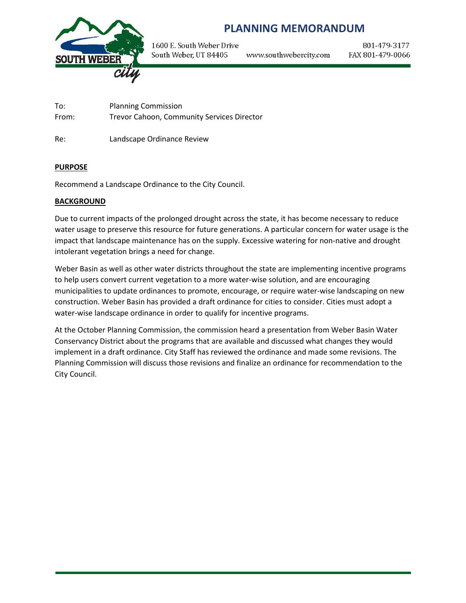

# **PLANNING MEMORANDUM**

1600 E. South Weber Drive South Weber, UT 84405

www.southwebercity.com

801-479-3177 FAX 801-479-0066

To: Planning Commission From: Trevor Cahoon, Community Services Director

Re: Landscape Ordinance Review

# **PURPOSE**

Recommend a Landscape Ordinance to the City Council.

# **BACKGROUND**

Due to current impacts of the prolonged drought across the state, it has become necessary to reduce water usage to preserve this resource for future generations. A particular concern for water usage is the impact that landscape maintenance has on the supply. Excessive watering for non-native and drought intolerant vegetation brings a need for change.

Weber Basin as well as other water districts throughout the state are implementing incentive programs to help users convert current vegetation to a more water-wise solution, and are encouraging municipalities to update ordinances to promote, encourage, or require water-wise landscaping on new construction. Weber Basin has provided a draft ordinance for cities to consider. Cities must adopt a water-wise landscape ordinance in order to qualify for incentive programs.

At the October Planning Commission, the commission heard a presentation from Weber Basin Water Conservancy District about the programs that are available and discussed what changes they would implement in a draft ordinance. City Staff has reviewed the ordinance and made some revisions. The Planning Commission will discuss those revisions and finalize an ordinance for recommendation to the City Council.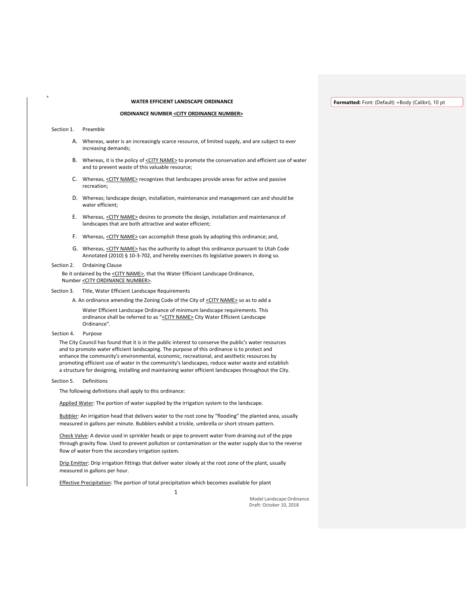# **WATER EFFICIENT LANDSCAPE ORDINANCE**

#### **Formatted:** Font: (Default) +Body (Calibri), 10 pt

#### **ORDINANCE NUMBER <CITY ORDINANCE NUMBER>**

Section 1. Preamble

- A. Whereas, water is an increasingly scarce resource, of limited supply, and are subject to ever increasing demands;
- B. Whereas, it is the policy of <CITY NAME> to promote the conservation and efficient use of water and to prevent waste of this valuable resource;
- C. Whereas, <CITY NAME> recognizes that landscapes provide areas for active and passive recreation;
- D. Whereas; landscape design, installation, maintenance and management can and should be water efficient;
- E. Whereas, <CITY NAME> desires to promote the design, installation and maintenance of landscapes that are both attractive and water efficient;
- F. Whereas, <CITY NAME> can accomplish these goals by adopting this ordinance; and,
- G. Whereas, <CITY NAME> has the authority to adopt this ordinance pursuant to Utah Code Annotated (2010) § 10-3-702, and hereby exercises its legislative powers in doing so.

### Section 2. Ordaining Clause

Be it ordained by the <CITY NAME>, that the Water Efficient Landscape Ordinance, Number <CITY ORDINANCE NUMBER>.

Section 3. Title, Water Efficient Landscape Requirements

A. An ordinance amending the Zoning Code of the City of <CITY NAME> so as to add a

Water Efficient Landscape Ordinance of minimum landscape requirements. This ordinance shall be referred to as "<CITY NAME> City Water Efficient Landscape Ordinance".

Section 4. Purpose

The City Council has found that it is in the public interest to conserve the public's water resources and to promote water efficient landscaping. The purpose of this ordinance is to protect and enhance the community's environmental, economic, recreational, and aesthetic resources by promoting efficient use of water in the community's landscapes, reduce water waste and establish a structure for designing, installing and maintaining water efficient landscapes throughout the City.

### Section 5. Definitions

The following definitions shall apply to this ordinance:

Applied Water: The portion of water supplied by the irrigation system to the landscape.

Bubbler: An irrigation head that delivers water to the root zone by "flooding" the planted area, usually measured in gallons per minute. Bubblers exhibit a trickle, umbrella or short stream pattern.

Check Valve: A device used in sprinkler heads or pipe to prevent water from draining out of the pipe through gravity flow. Used to prevent pollution or contamination or the water supply due to the reverse flow of water from the secondary irrigation system.

Drip Emitter: Drip irrigation fittings that deliver water slowly at the root zone of the plant, usually measured in gallons per hour.

Effective Precipitation: The portion of total precipitation which becomes available for plant

1

Model Landscape Ordinance Draft: October 10, 2018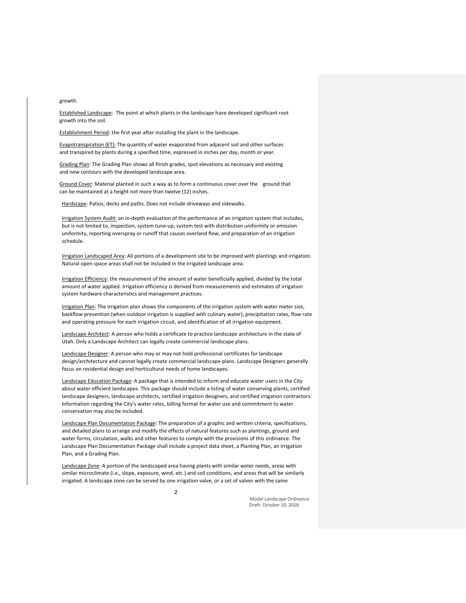growth.

Established Landscape: The point at which plants in the landscape have developed significant root growth into the soil.

Establishment Period: the first year after installing the plant in the landscape.

Evapotranspiration (ET): The quantity of water evaporated from adjacent soil and other surfaces and transpired by plants during a specified time, expressed in inches per day, month or year.

Grading Plan: The Grading Plan shows all finish grades, spot elevations as necessary and existing and new contours with the developed landscape area.

Ground Cover: Material planted in such a way as to form a continuous cover over the ground that can be maintained at a height not more than twelve (12) inches.

Hardscape: Patios, decks and paths. Does not include driveways and sidewalks.

Irrigation System Audit: an in-depth evaluation of the performance of an irrigation system that includes, but is not limited to, inspection, system tune-up, system test with distribution uniformity or emission uniformity, reporting overspray or runoff that causes overland flow, and preparation of an irrigation schedule.

Irrigation Landscaped Area: All portions of a development site to be improved with plantings and irrigation. Natural open space areas shall not be included in the irrigated landscape area.

Irrigation Efficiency: the measurement of the amount of water beneficially applied, divided by the total amount of water applied. Irrigation efficiency is derived from measurements and estimates of irrigation system hardware characteristics and management practices.

Irrigation Plan: The irrigation plan shows the components of the irrigation system with water meter size, backflow prevention (when outdoor irrigation is supplied with culinary water), precipitation rates, flow rate and operating pressure for each irrigation circuit, and identification of all irrigation equipment.

Landscape Architect: A person who holds a certificate to practice landscape architecture in the state of Utah. Only a Landscape Architect can legally create commercial landscape plans.

Landscape Designer: A person who may or may not hold professional certificates for landscape design/architecture and cannot legally create commercial landscape plans. Landscape Designers generally focus on residential design and horticultural needs of home landscapes.

Landscape Education Package: A package that is intended to inform and educate water users in the City about water efficient landscapes. This package should include a listing of water conserving plants, certified landscape designers, landscape architects, certified irrigation designers, and certified irrigation contractors. Information regarding the City's water rates, billing format for water use and commitment to water conservation may also be included.

Landscape Plan Documentation Package: The preparation of a graphic and written criteria, specifications, and detailed plans to arrange and modify the effects of natural features such as plantings, ground and water forms, circulation, walks and other features to comply with the provisions of this ordinance. The Landscape Plan Documentation Package shall include a project data sheet, a Planting Plan, an Irrigation Plan, and a Grading Plan.

Landscape Zone: A portion of the landscaped area having plants with similar water needs, areas with similar microclimate (i.e., slope, exposure, wind, etc.) and soil conditions, and areas that will be similarly irrigated. A landscape zone can be served by one irrigation valve, or a set of valves with the same

> Model Landscape Ordinance Draft: October 10, 2018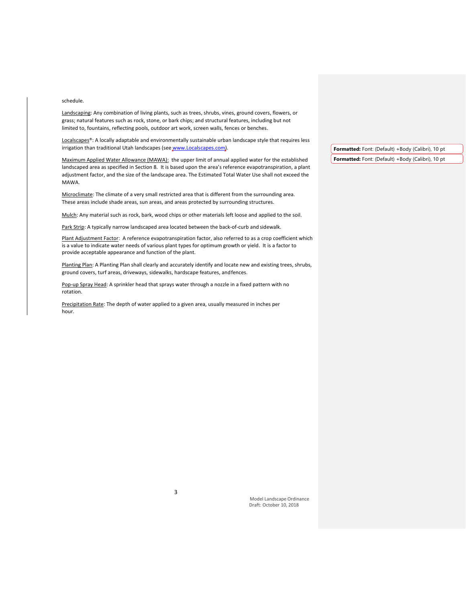# schedule.

Landscaping: Any combination of living plants, such as trees, shrubs, vines, ground covers, flowers, or grass; natural features such as rock, stone, or bark chips; and structural features, including but not limited to, fountains, reflecting pools, outdoor art work, screen walls, fences or benches.

Localscapes®: A locally adaptable and environmentally sustainable urban landscape style that requires less irrigation than traditional Utah landscapes (se[e www.Localscapes.com\)](http://www.localscapes.com/).

Maximum Applied Water Allowance (MAWA): the upper limit of annual applied water for the established landscaped area as specified in Section 8. It is based upon the area's reference evapotranspiration, a plant adjustment factor, and the size of the landscape area. The Estimated Total Water Use shall not exceed the MAWA.

Microclimate: The climate of a very small restricted area that is different from the surrounding area. These areas include shade areas, sun areas, and areas protected by surrounding structures.

Mulch: Any material such as rock, bark, wood chips or other materials left loose and applied to the soil.

Park Strip: A typically narrow landscaped area located between the back-of-curb and sidewalk.

Plant Adjustment Factor: A reference evapotranspiration factor, also referred to as a crop coefficient which is a value to indicate water needs of various plant types for optimum growth or yield. It is a factor to provide acceptable appearance and function of the plant.

Planting Plan: A Planting Plan shall clearly and accurately identify and locate new and existing trees, shrubs, ground covers, turf areas, driveways, sidewalks, hardscape features, andfences.

Pop-up Spray Head: A sprinkler head that sprays water through a nozzle in a fixed pattern with no rotation.

Precipitation Rate: The depth of water applied to a given area, usually measured in inches per hour.

**Formatted:** Font: (Default) +Body (Calibri), 10 pt **Formatted:** Font: (Default) +Body (Calibri), 10 pt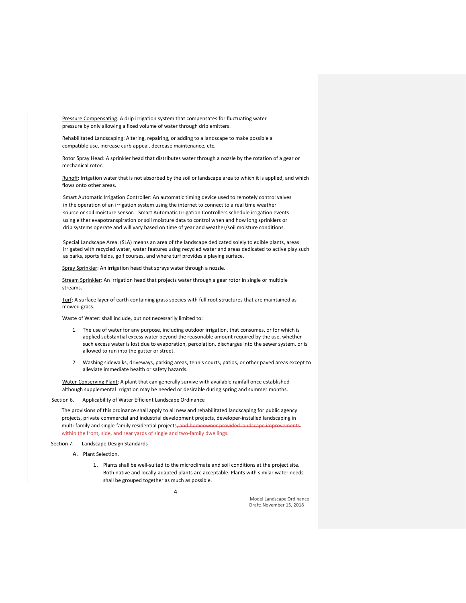Pressure Compensating: A drip irrigation system that compensates for fluctuating water pressure by only allowing a fixed volume of water through drip emitters.

Rehabilitated Landscaping: Altering, repairing, or adding to a landscape to make possible a compatible use, increase curb appeal, decrease maintenance, etc.

Rotor Spray Head: A sprinkler head that distributes water through a nozzle by the rotation of a gear or mechanical rotor.

Runoff: Irrigation water that is not absorbed by the soil or landscape area to which it is applied, and which flows onto other areas.

Smart Automatic Irrigation Controller: An automatic timing device used to remotely control valves in the operation of an irrigation system using the internet to connect to a real time weather source or soil moisture sensor. Smart Automatic Irrigation Controllers schedule irrigation events using either evapotranspiration or soil moisture data to control when and how long sprinklers or drip systems operate and will vary based on time of year and weather/soil moisture conditions.

Special Landscape Area: (SLA) means an area of the landscape dedicated solely to edible plants, areas irrigated with recycled water, water features using recycled water and areas dedicated to active play such as parks, sports fields, golf courses, and where turf provides a playing surface.

Spray Sprinkler: An irrigation head that sprays water through a nozzle.

Stream Sprinkler: An irrigation head that projects water through a gear rotor in single or multiple streams.

Turf: A surface layer of earth containing grass species with full root structures that are maintained as mowed grass.

Waste of Water: shall include, but not necessarily limited to:

- 1. The use of water for any purpose, including outdoor irrigation, that consumes, or for which is applied substantial excess water beyond the reasonable amount required by the use, whether such excess water is lost due to evaporation, percolation, discharges into the sewer system, or is allowed to run into the gutter or street.
- 2. Washing sidewalks, driveways, parking areas, tennis courts, patios, or other paved areas except to alleviate immediate health or safety hazards.

Water-Conserving Plant: A plant that can generally survive with available rainfall once established although supplemental irrigation may be needed or desirable during spring and summer months.

Section 6. Applicability of Water Efficient Landscape Ordinance

The provisions of this ordinance shall apply to all new and rehabilitated landscaping for public agency projects, private commercial and industrial development projects, developer-installed landscaping in multi-family and single-family residential projects, and homeowner provided landscape improvementswithin the front, side, and rear vards of single and two-family dwellings.

Section 7. Landscape Design Standards

- A. Plant Selection.
	- 1. Plants shall be well-suited to the microclimate and soil conditions at the project site. Both native and locally-adapted plants are acceptable. Plants with similar water needs shall be grouped together as much as possible.

4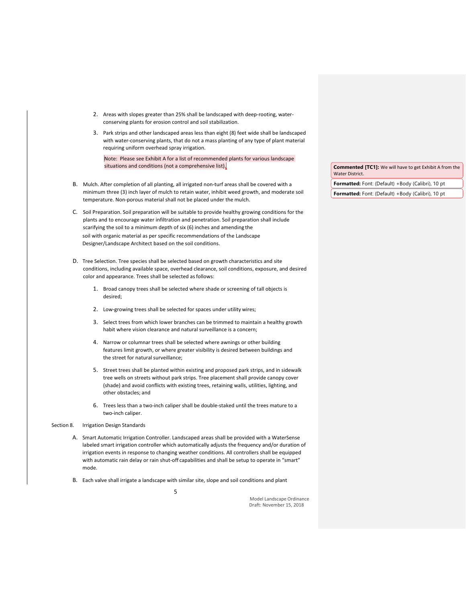- 2. Areas with slopes greater than 25% shall be landscaped with deep-rooting, waterconserving plants for erosion control and soil stabilization.
- 3. Park strips and other landscaped areas less than eight (8) feet wide shall be landscaped with water-conserving plants, that do not a mass planting of any type of plant material requiring uniform overhead spray irrigation.

Note: Please see Exhibit A for a list of recommended plants for various landscape situations and conditions (not a comprehensive list).

B. Mulch. After completion of all planting, all irrigated non-turf areas shall be covered with a minimum three (3) inch layer of mulch to retain water, inhibit weed growth, and moderate soil temperature. Non-porous material shall not be placed under the mulch.

C. Soil Preparation. Soil preparation will be suitable to provide healthy growing conditions for the plants and to encourage water infiltration and penetration. Soil preparation shall include scarifying the soil to a minimum depth of six (6) inches and amending the soil with organic material as per specific recommendations of the Landscape Designer/Landscape Architect based on the soil conditions.

- D. Tree Selection. Tree species shall be selected based on growth characteristics and site conditions, including available space, overhead clearance, soil conditions, exposure, and desired color and appearance. Trees shall be selected as follows:
	- 1. Broad canopy trees shall be selected where shade or screening of tall objects is desired;
	- 2. Low-growing trees shall be selected for spaces under utility wires;
	- 3. Select trees from which lower branches can be trimmed to maintain a healthy growth habit where vision clearance and natural surveillance is a concern;
	- 4. Narrow or columnar trees shall be selected where awnings or other building features limit growth, or where greater visibility is desired between buildings and the street for natural surveillance;
	- 5. Street trees shall be planted within existing and proposed park strips, and in sidewalk tree wells on streets without park strips. Tree placement shall provide canopy cover (shade) and avoid conflicts with existing trees, retaining walls, utilities, lighting, and other obstacles; and
	- 6. Trees less than a two-inch caliper shall be double-staked until the trees mature to a two-inch caliper.
- Section 8. Irrigation Design Standards
	- A. Smart Automatic Irrigation Controller. Landscaped areas shall be provided with a WaterSense labeled smart irrigation controller which automatically adjusts the frequency and/or duration of irrigation events in response to changing weather conditions. All controllers shall be equipped with automatic rain delay or rain shut-off capabilities and shall be setup to operate in "smart" mode.
	- 5 B. Each valve shall irrigate a landscape with similar site, slope and soil conditions and plant

Model Landscape Ordinance Draft: November 15, 2018

**Commented [TC1]:** We will have to get Exhibit A from the Water District.

**Formatted:** Font: (Default) +Body (Calibri), 10 pt

**Formatted:** Font: (Default) +Body (Calibri), 10 pt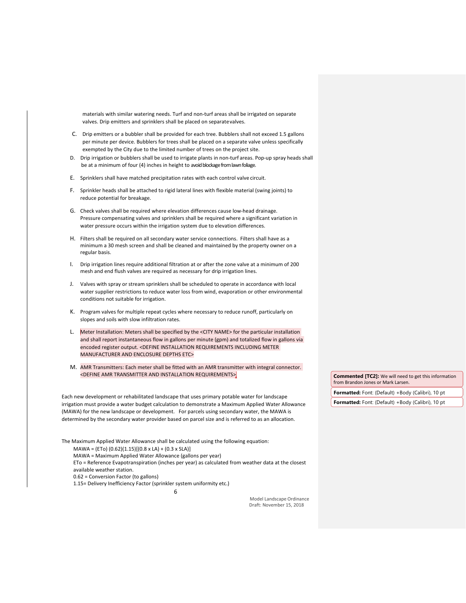materials with similar watering needs. Turf and non-turf areas shall be irrigated on separate valves. Drip emitters and sprinklers shall be placed on separatevalves.

- C. Drip emitters or a bubbler shall be provided for each tree. Bubblers shall not exceed 1.5 gallons per minute per device. Bubblers for trees shall be placed on a separate valve unless specifically exempted by the City due to the limited number of trees on the project site.
- D. Drip irrigation or bubblers shall be used to irrigate plants in non-turf areas. Pop-up spray heads shall be at a minimum of four (4) inches in height to avoid blockage from lawn foliage.
- E. Sprinklers shall have matched precipitation rates with each control valve circuit.
- F. Sprinkler heads shall be attached to rigid lateral lines with flexible material (swing joints) to reduce potential for breakage.
- G. Check valves shall be required where elevation differences cause low-head drainage. Pressure compensating valves and sprinklers shall be required where a significant variation in water pressure occurs within the irrigation system due to elevation differences.
- H. Filters shall be required on all secondary water service connections. Filters shall have as a minimum a 30 mesh screen and shall be cleaned and maintained by the property owner on a regular basis.
- I. Drip irrigation lines require additional filtration at or after the zone valve at a minimum of 200 mesh and end flush valves are required as necessary for drip irrigation lines.
- J. Valves with spray or stream sprinklers shall be scheduled to operate in accordance with local water supplier restrictions to reduce water loss from wind, evaporation or other environmental conditions not suitable for irrigation.
- K. Program valves for multiple repeat cycles where necessary to reduce runoff, particularly on slopes and soils with slow infiltration rates.
- L. Meter Installation: Meters shall be specified by the <CITY NAME> for the particular installation and shall report instantaneous flow in gallons per minute (gpm) and totalized flow in gallons via encoded register output. <DEFINE INSTALLATION REQUIREMENTS INCLUDING METER MANUFACTURER AND ENCLOSURE DEPTHS ETC>
- M. AMR Transmitters: Each meter shall be fitted with an AMR transmitter with integral connector. <DEFINE AMR TRANSMITTER AND INSTALLATION REQUIREMENTS>

Each new development or rehabilitated landscape that uses primary potable water for landscape irrigation must provide a water budget calculation to demonstrate a Maximum Applied Water Allowance (MAWA) for the new landscape or development. For parcels using secondary water, the MAWA is determined by the secondary water provider based on parcel size and is referred to as an allocation.

The Maximum Applied Water Allowance shall be calculated using the following equation: MAWA = (ETo) (0.62)(1.15)[(0.8 x LA) + (0.3 x SLA)]

MAWA = Maximum Applied Water Allowance (gallons per year)

ETo = Reference Evapotranspiration (inches per year) as calculated from weather data at the closest

available weather station.

0.62 = Conversion Factor (to gallons)

1.15= Delivery Inefficiency Factor (sprinkler system uniformity etc.)

6

Model Landscape Ordinance Draft: November 15, 2018

**Commented [TC2]:** We will need to get this information from Brandon Jones or Mark Larsen.

**Formatted:** Font: (Default) +Body (Calibri), 10 pt

**Formatted:** Font: (Default) +Body (Calibri), 10 pt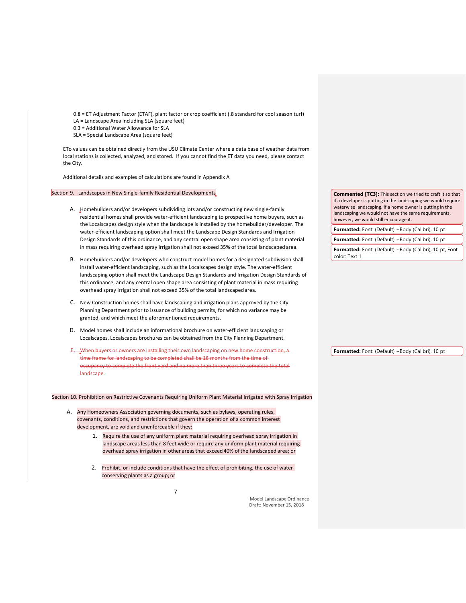0.8 = ET Adjustment Factor (ETAF), plant factor or crop coefficient (.8 standard for cool season turf)

LA = Landscape Area including SLA (square feet)

0.3 = Additional Water Allowance for SLA SLA = Special Landscape Area (square feet)

ETo values can be obtained directly from the USU Climate Center where a data base of weather data from local stations is collected, analyzed, and stored. If you cannot find the ET data you need, please contact the City.

Additional details and examples of calculations are found in Appendix A

Section 9. Landscapes in New Single-family Residential Developments

- A. Homebuilders and/or developers subdividing lots and/or constructing new single-family residential homes shall provide water-efficient landscaping to prospective home buyers, such as the Localscapes design style when the landscape is installed by the homebuilder/developer. The water-efficient landscaping option shall meet the Landscape Design Standards and Irrigation Design Standards of this ordinance, and any central open shape area consisting of plant material in mass requiring overhead spray irrigation shall not exceed 35% of the total landscaped area.
- B. Homebuilders and/or developers who construct model homes for a designated subdivision shall install water-efficient landscaping, such as the Localscapes design style. The water-efficient landscaping option shall meet the Landscape Design Standards and Irrigation Design Standards of this ordinance, and any central open shape area consisting of plant material in mass requiring overhead spray irrigation shall not exceed 35% of the total landscapedarea.
- C. New Construction homes shall have landscaping and irrigation plans approved by the City Planning Department prior to issuance of building permits, for which no variance may be granted, and which meet the aforementioned requirements.
- D. Model homes shall include an informational brochure on water-efficient landscaping or Localscapes. Localscapes brochures can be obtained from the City Planning Department.
- E. When buyers or owners are installing their own landscaping on new home construction, a time frame for landscaping to be completed shall be 18 months from the time of occupancy to complete the front yard and no more than three years to complete the total landscape.

Section 10. Prohibition on Restrictive Covenants Requiring Uniform Plant Material Irrigated with Spray Irrigation

- A. Any Homeowners Association governing documents, such as bylaws, operating rules, covenants, conditions, and restrictions that govern the operation of a common interest development, are void and unenforceable if they:
	- 1. Require the use of any uniform plant material requiring overhead spray irrigation in landscape areas less than 8 feet wide or require any uniform plant material requiring overhead spray irrigation in other areasthat exceed 40% ofthe landscaped area; or
	- 2. Prohibit, or include conditions that have the effect of prohibiting, the use of waterconserving plants as a group; or

**Commented [TC3]:** This section we tried to craft it so that if a developer is putting in the landscaping we would require waterwise landscaping. If a home owner is putting in the landscaping we would not have the same requirements, however, we would still encourage it.

**Formatted:** Font: (Default) +Body (Calibri), 10 pt

**Formatted:** Font: (Default) +Body (Calibri), 10 pt

**Formatted:** Font: (Default) +Body (Calibri), 10 pt, Font color: Text 1

**Formatted:** Font: (Default) +Body (Calibri), 10 pt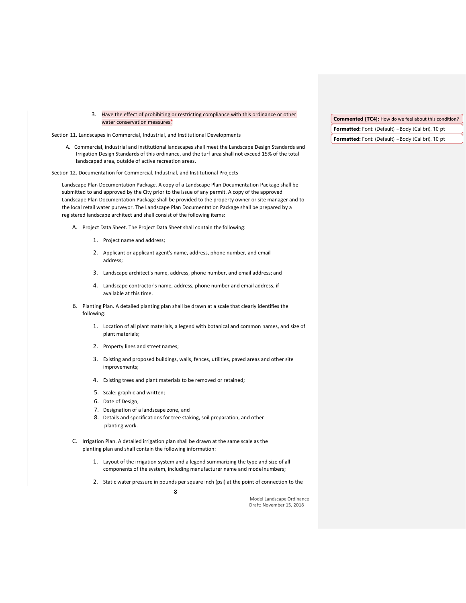3. Have the effect of prohibiting or restricting compliance with this ordinance or other water conservation measures<sup>\*</sup>

Section 11. Landscapes in Commercial, Industrial, and Institutional Developments

A. Commercial, industrial and institutional landscapes shall meet the Landscape Design Standards and Irrigation Design Standards of this ordinance, and the turf area shall not exceed 15% of the total landscaped area, outside of active recreation areas.

Section 12. Documentation for Commercial, Industrial, and Institutional Projects

Landscape Plan Documentation Package. A copy of a Landscape Plan Documentation Package shall be submitted to and approved by the City prior to the issue of any permit. A copy of the approved Landscape Plan Documentation Package shall be provided to the property owner or site manager and to the local retail water purveyor. The Landscape Plan Documentation Package shall be prepared by a registered landscape architect and shall consist of the following items:

- A. Project Data Sheet. The Project Data Sheet shall contain the following:
	- 1. Project name and address;
	- 2. Applicant or applicant agent's name, address, phone number, and email address;
	- 3. Landscape architect's name, address, phone number, and email address; and
	- 4. Landscape contractor's name, address, phone number and email address, if available at this time.
- B. Planting Plan. A detailed planting plan shall be drawn at a scale that clearly identifies the following:
	- 1. Location of all plant materials, a legend with botanical and common names, and size of plant materials;
	- 2. Property lines and street names;
	- 3. Existing and proposed buildings, walls, fences, utilities, paved areas and other site improvements;
	- 4. Existing trees and plant materials to be removed or retained;
	- 5. Scale: graphic and written;
	- 6. Date of Design;
	- 7. Designation of a landscape zone, and
	- 8. Details and specifications for tree staking, soil preparation, and other planting work.
- C. Irrigation Plan. A detailed irrigation plan shall be drawn at the same scale as the planting plan and shall contain the following information:

8

- 1. Layout of the irrigation system and a legend summarizing the type and size of all components of the system, including manufacturer name and modelnumbers;
- 2. Static water pressure in pounds per square inch (psi) at the point of connection to the

Model Landscape Ordinance Draft: November 15, 2018

**Commented [TC4]:** How do we feel about this condition? **Formatted:** Font: (Default) +Body (Calibri), 10 pt

**Formatted:** Font: (Default) +Body (Calibri), 10 pt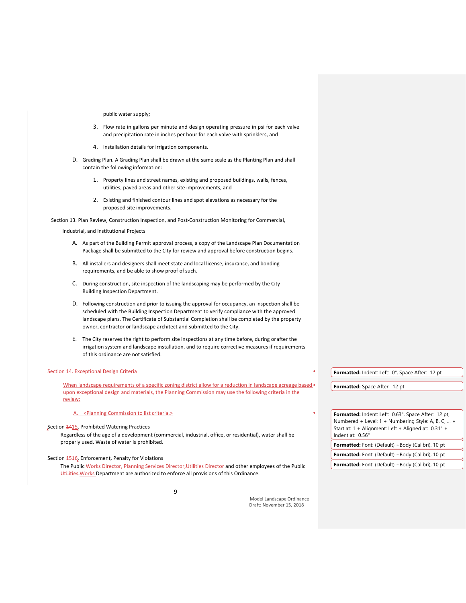# public water supply;

- 3. Flow rate in gallons per minute and design operating pressure in psi for each valve and precipitation rate in inches per hour for each valve with sprinklers, and
- 4. Installation details for irrigation components.
- D. Grading Plan. A Grading Plan shall be drawn at the same scale as the Planting Plan and shall contain the following information:
	- 1. Property lines and street names, existing and proposed buildings, walls, fences, utilities, paved areas and other site improvements, and
	- 2. Existing and finished contour lines and spot elevations as necessary for the proposed site improvements.

Section 13. Plan Review, Construction Inspection, and Post-Construction Monitoring for Commercial,

Industrial, and Institutional Projects

- A. As part of the Building Permit approval process, a copy of the Landscape Plan Documentation Package shall be submitted to the City for review and approval before construction begins.
- B. All installers and designers shall meet state and local license, insurance, and bonding requirements, and be able to show proof of such.
- C. During construction, site inspection of the landscaping may be performed by the City Building Inspection Department.
- D. Following construction and prior to issuing the approval for occupancy, an inspection shall be scheduled with the Building Inspection Department to verify compliance with the approved landscape plans. The Certificate of Substantial Completion shall be completed by the property owner, contractor or landscape architect and submitted to the City.
- E. The City reserves the right to perform site inspections at any time before, during orafter the irrigation system and landscape installation, and to require corrective measures if requirements of this ordinance are not satisfied.

### Section 14. Exceptional Design Criteria

When landscape requirements of a specific zoning district allow for a reduction in landscape acreage based upon exceptional design and materials, the Planning Commission may use the following criteria in the review:

# A. <Planning Commission to list criteria.>

# Section 1415. Prohibited Watering Practices

Regardless of the age of a development (commercial, industrial, office, or residential), water shall be properly used. Waste of water is prohibited.

9

Section **1516**. Enforcement, Penalty for Violations

The Public Works Director, Planning Services Director, Utilities Director and other employees of the Public Utilities-Works Department are authorized to enforce all provisions of this Ordinance.

> Model Landscape Ordinance Draft: November 15, 2018

**Formatted:** Indent: Left: 0", Space After: 12 pt

**Formatted:** Space After: 12 pt

| <b>Formatted:</b> Indent: Left: 0.63", Space After: 12 pt, |
|------------------------------------------------------------|
| Numbered + Level: 1 + Numbering Style: A, B, C,  +         |
| Start at: 1 + Alignment: Left + Aligned at: 0.31" +        |
| Indent at: 0.56"                                           |
| Formatted: Font: (Default) +Body (Calibri), 10 pt          |
|                                                            |
| Formatted: Font: (Default) +Body (Calibri), 10 pt          |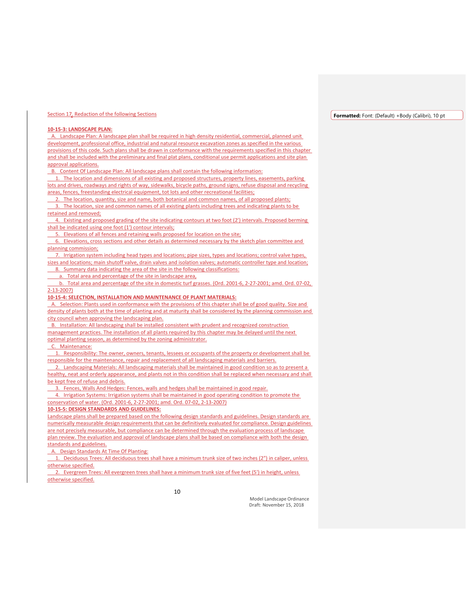#### **Formatted:** Font: (Default) +Body (Calibri), 10 pt

# **10-15-3: LANDSCAPE PLAN:**

 A. Landscape Plan: A landscape plan shall be required in high density residential, commercial, planned unit development, professional office, industrial and natural resource excavation zones as specified in the various provisions of this code. Such plans shall be drawn in conformance with the requirements specified in this chapter and shall be included with the preliminary and final plat plans, conditional use permit applications and site plan approval applications.

B. Content Of Landscape Plan: All landscape plans shall contain the following information:

 1. The location and dimensions of all existing and proposed structures, property lines, easements, parking lots and drives, roadways and rights of way, sidewalks, bicycle paths, ground signs, refuse disposal and recycling areas, fences, freestanding electrical equipment, tot lots and other recreational facilities;

 2. The location, quantity, size and name, both botanical and common names, of all proposed plants; 3. The location, size and common names of all existing plants including trees and indicating plants to be retained and removed;

 4. Existing and proposed grading of the site indicating contours at two foot (2') intervals. Proposed berming shall be indicated using one foot (1') contour intervals;

5. Elevations of all fences and retaining walls proposed for location on the site;

 6. Elevations, cross sections and other details as determined necessary by the sketch plan committee and planning commission;

 7. Irrigation system including head types and locations; pipe sizes, types and locations; control valve types, sizes and locations; main shutoff valve, drain valves and isolation valves; automatic controller type and location; 8. Summary data indicating the area of the site in the following classifications:

a. Total area and percentage of the site in landscape area,

 b. Total area and percentage of the site in domestic turf grasses. (Ord. 2001-6, 2-27-2001; amd. Ord. 07-02, 2-13-2007)

**10-15-4: SELECTION, INSTALLATION AND MAINTENANCE OF PLANT MATERIALS:**

Selection: Plants used in conformance with the provisions of this chapter shall be of good quality. Size and density of plants both at the time of planting and at maturity shall be considered by the planning commission and city council when approving the landscaping plan.

 B. Installation: All landscaping shall be installed consistent with prudent and recognized construction management practices. The installation of all plants required by this chapter may be delayed until the next optimal planting season, as determined by the zoning administrator.

C. Maintenance:

 1. Responsibility: The owner, owners, tenants, lessees or occupants of the property or development shall be responsible for the maintenance, repair and replacement of all landscaping materials and barriers.

 2. Landscaping Materials: All landscaping materials shall be maintained in good condition so as to present a healthy, neat and orderly appearance, and plants not in this condition shall be replaced when necessary and shall be kept free of refuse and debris.

3. Fences, Walls And Hedges: Fences, walls and hedges shall be maintained in good repair.

 4. Irrigation Systems: Irrigation systems shall be maintained in good operating condition to promote the conservation of water. (Ord. 2001-6, 2-27-2001; amd. Ord. 07-02, 2-13-2007)

**10-15-5: DESIGN STANDARDS AND GUIDELINES:**

Landscape plans shall be prepared based on the following design standards and guidelines. Design standards are numerically measurable design requirements that can be definitively evaluated for compliance. Design guidelines are not precisely measurable, but compliance can be determined through the evaluation process of landscape plan review. The evaluation and approval of landscape plans shall be based on compliance with both the design standards and guidelines.

A. Design Standards At Time Of Planting:

 1. Deciduous Trees: All deciduous trees shall have a minimum trunk size of two inches (2") in caliper, unless otherwise specified.

 2. Evergreen Trees: All evergreen trees shall have a minimum trunk size of five feet (5') in height, unless otherwise specified.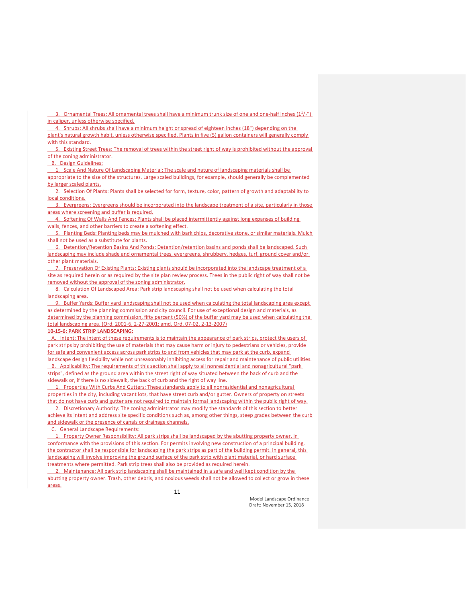3. Ornamental Trees: All ornamental trees shall have a minimum trunk size of one and one-half inches  $(1<sup>1</sup>/<sub>2</sub>)<sup>n</sup>$ ) in caliper, unless otherwise specified.

 4. Shrubs: All shrubs shall have a minimum height or spread of eighteen inches (18") depending on the plant's natural growth habit, unless otherwise specified. Plants in five (5) gallon containers will generally comply with this standard.

 5. Existing Street Trees: The removal of trees within the street right of way is prohibited without the approval of the zoning administrator.

### B. Design Guidelines:

1. Scale And Nature Of Landscaping Material: The scale and nature of landscaping materials shall be

appropriate to the size of the structures. Large scaled buildings, for example, should generally be complemented by larger scaled plants.

 2. Selection Of Plants: Plants shall be selected for form, texture, color, pattern of growth and adaptability to local conditions.

 3. Evergreens: Evergreens should be incorporated into the landscape treatment of a site, particularly in those areas where screening and buffer is required.

 4. Softening Of Walls And Fences: Plants shall be placed intermittently against long expanses of building walls, fences, and other barriers to create a softening effect.

Planting Beds: Planting beds may be mulched with bark chips, decorative stone, or similar materials. Mulch shall not be used as a substitute for plants.

 6. Detention/Retention Basins And Ponds: Detention/retention basins and ponds shall be landscaped. Such landscaping may include shade and ornamental trees, evergreens, shrubbery, hedges, turf, ground cover and/or other plant materials.

 7. Preservation Of Existing Plants: Existing plants should be incorporated into the landscape treatment of a site as required herein or as required by the site plan review process. Trees in the public right of way shall not be removed without the approval of the zoning administrator.

 8. Calculation Of Landscaped Area: Park strip landscaping shall not be used when calculating the total landscaping area.

 9. Buffer Yards: Buffer yard landscaping shall not be used when calculating the total landscaping area except as determined by the planning commission and city council. For use of exceptional design and materials, as determined by the planning commission, fifty percent (50%) of the buffer yard may be used when calculating the total landscaping area. (Ord. 2001-6, 2-27-2001; amd. Ord. 07-02, 2-13-2007)

#### **10-15-6: PARK STRIP LANDSCAPING:**

 A. Intent: The intent of these requirements is to maintain the appearance of park strips, protect the users of park strips by prohibiting the use of materials that may cause harm or injury to pedestrians or vehicles, provide for safe and convenient access across park strips to and from vehicles that may park at the curb, expand landscape design flexibility while not unreasonably inhibiting access for repair and maintenance of public utilities. B. Applicability: The requirements of this section shall apply to all nonresidential and nonagricultural "park strips", defined as the ground area within the street right of way situated between the back of curb and the sidewalk or, if there is no sidewalk, the back of curb and the right of way line.

 1. Properties With Curbs And Gutters: These standards apply to all nonresidential and nonagricultural properties in the city, including vacant lots, that have street curb and/or gutter. Owners of property on streets that do not have curb and gutter are not required to maintain formal landscaping within the public right of way. 2. Discretionary Authority: The zoning administrator may modify the standards of this section to better

achieve its intent and address site specific conditions such as, among other things, steep grades between the curb and sidewalk or the presence of canals or drainage channels.

**General Landscape Requirements:** 

1. Property Owner Responsibility: All park strips shall be landscaped by the abutting property owner, in conformance with the provisions of this section. For permits involving new construction of a principal building, the contractor shall be responsible for landscaping the park strips as part of the building permit. In general, this landscaping will involve improving the ground surface of the park strip with plant material, or hard surface treatments where permitted. Park strip trees shall also be provided as required herein.

Maintenance: All park strip landscaping shall be maintained in a safe and well kept condition by the abutting property owner. Trash, other debris, and noxious weeds shall not be allowed to collect or grow in these areas.

11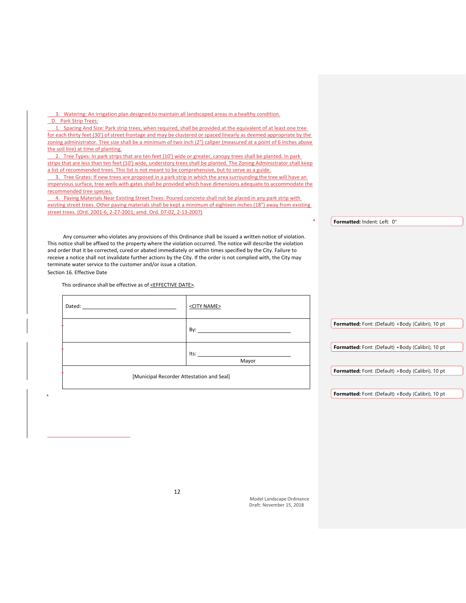D. Park Strip Trees: 1. Spacing And Size: Park strip trees, when required, shall be provided at the equivalent of at least one tree for each thirty feet (30') of street frontage and may be clustered or spaced linearly as deemed appropriate by the zoning administrator. Tree size shall be a minimum of two inch (2") caliper (measured at a point of 6 inches above the soil line) at time of planting. 2. Tree Types: In park strips that are ten feet (10') wide or greater, canopy trees shall be planted. In park strips that are less than ten feet (10') wide, understory trees shall be planted. The Zoning Administrator shall keep a list of recommended trees. This list is not meant to be comprehensive, but to serve as a guide. 3. Tree Grates: If new trees are proposed in a park strip in which the area surrounding the tree will have an impervious surface, tree wells with gates shall be provided which have dimensions adequate to accommodate the recommended tree species. 4. Paving Materials Near Existing Street Trees: Poured concrete shall not be placed in any park strip with existing street trees. Other paving materials shall be kept a minimum of eighteen inches (18") away from existing street trees. (Ord. 2001-6, 2-27-2001; amd. Ord. 07-02, 2-13-2007) Any consumer who violates any provisions of this Ordinance shall be issued a written notice of violation. This notice shall be affixed to the property where the violation occurred. The notice will describe the violation and order that it be corrected, cured or abated immediately or within times specified by the City. Failure to receive a notice shall not invalidate further actions by the City. If the order is not complied with, the City may terminate water service to the customer and/or issue a citation. Section 16. Effective Date This ordinance shall be effective as of <EFFECTIVE DATE>. Dated: <CITY NAME> By: **Formatted:** Indent: Left: 0" **Formatted:** Font: (Default) +Body (Calibri), 10 pt

Mayor

[Municipal Recorder Attestation and Seal]

Its:

3. Watering: An irrigation plan designed to maintain all landscaped areas in a healthy condition.

**Formatted:** Font: (Default) +Body (Calibri), 10 pt

**Formatted:** Font: (Default) +Body (Calibri), 10 pt

**Formatted:** Font: (Default) +Body (Calibri), 10 pt